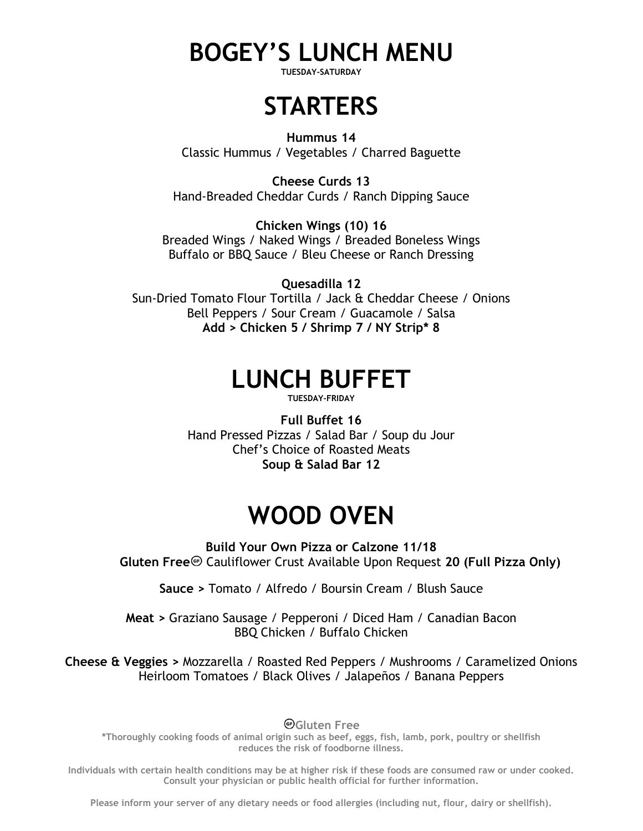# **BOGEY'S LUNCH MENU**

**TUESDAY-SATURDAY**

## **STARTERS**

**Hummus 14** Classic Hummus / Vegetables / Charred Baguette

**Cheese Curds 13** Hand-Breaded Cheddar Curds / Ranch Dipping Sauce

**Chicken Wings (10) 16** Breaded Wings / Naked Wings / Breaded Boneless Wings Buffalo or BBQ Sauce / Bleu Cheese or Ranch Dressing

**Quesadilla 12** Sun-Dried Tomato Flour Tortilla / Jack & Cheddar Cheese / Onions Bell Peppers / Sour Cream / Guacamole / Salsa **Add > Chicken 5 / Shrimp 7 / NY Strip\* 8**

## **LUNCH BUFFET**

**TUESDAY-FRIDAY**

**Full Buffet 16** Hand Pressed Pizzas / Salad Bar / Soup du Jour Chef's Choice of Roasted Meats **Soup & Salad Bar 12**

# **WOOD OVEN**

**Build Your Own Pizza or Calzone 11/18 Gluten Free** Cauliflower Crust Available Upon Request 20 (Full Pizza Only)

**Sauce >** Tomato / Alfredo / Boursin Cream / Blush Sauce

**Meat >** Graziano Sausage / Pepperoni / Diced Ham / Canadian Bacon BBQ Chicken / Buffalo Chicken

**Cheese & Veggies >** Mozzarella / Roasted Red Peppers / Mushrooms / Caramelized Onions Heirloom Tomatoes / Black Olives / Jalapeños / Banana Peppers

**Gluten Free**

**\*Thoroughly cooking foods of animal origin such as beef, eggs, fish, lamb, pork, poultry or shellfish reduces the risk of foodborne illness.**

**Individuals with certain health conditions may be at higher risk if these foods are consumed raw or under cooked. Consult your physician or public health official for further information.**

**Please inform your server of any dietary needs or food allergies (including nut, flour, dairy or shellfish).**